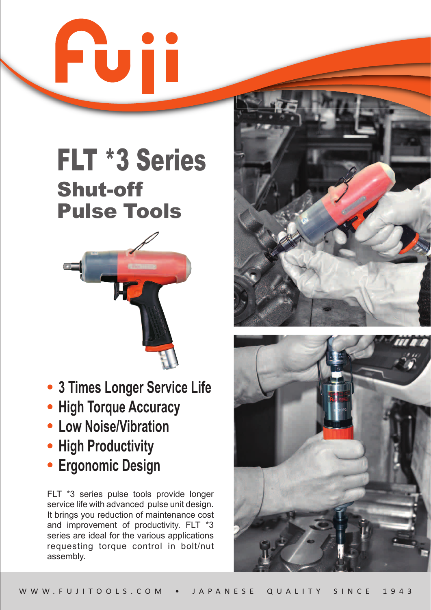



- **3 Times Longer Service Life**
- **High Torque Accuracy**
- **Low Noise/Vibration**
- **High Productivity**
- **Ergonomic Design**

FLT \*3 series pulse tools provide longer service life with advanced pulse unit design. It brings you reduction of maintenance cost and improvement of productivity. FLT \*3 series are ideal for the various applications requesting torque control in bolt/nut assembly.



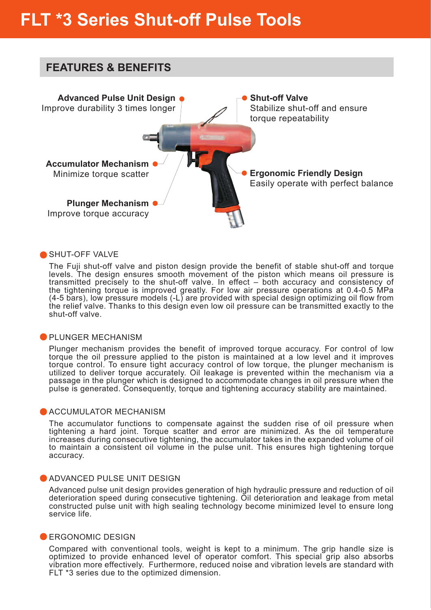

### SHUT-OFF VALVE

The Fuji shut-off valve and piston design provide the benefit of stable shut-off and torque levels. The design ensures smooth movement of the piston which means oil pressure is transmitted precisely to the shut-off valve. In effect – both accuracy and consistency of the tightening torque is improved greatly. For low air pressure operations at 0.4-0.5 MPa (4-5 bars), low pressure models (-L) are provided with special design optimizing oil flow from the relief valve. Thanks to this design even low oil pressure can be transmitted exactly to the shut-off valve.

### **PLUNGER MECHANISM**

Plunger mechanism provides the benefit of improved torque accuracy. For control of low torque the oil pressure applied to the piston is maintained at a low level and it improves torque control. To ensure tight accuracy control of low torque, the plunger mechanism is utilized to deliver torque accurately. Oil leakage is prevented within the mechanism via a passage in the plunger which is designed to accommodate changes in oil pressure when the pulse is generated. Consequently, torque and tightening accuracy stability are maintained.

### **ACCUMULATOR MECHANISM**

The accumulator functions to compensate against the sudden rise of oil pressure when tightening a hard joint. Torque scatter and error are minimized. As the oil temperature increases during consecutive tightening, the accumulator takes in the expanded volume of oil to maintain a consistent oil volume in the pulse unit. This ensures high tightening torque accuracy.

### **ADVANCED PULSE UNIT DESIGN**

Advanced pulse unit design provides generation of high hydraulic pressure and reduction of oil deterioration speed during consecutive tightening. Oil deterioration and leakage from metal constructed pulse unit with high sealing technology become minimized level to ensure long service life.

### **ERGONOMIC DESIGN**

Compared with conventional tools, weight is kept to a minimum. The grip handle size is optimized to provide enhanced level of operator comfort. This special grip also absorbs vibration more effectively. Furthermore, reduced noise and vibration levels are standard with FLT \*3 series due to the optimized dimension.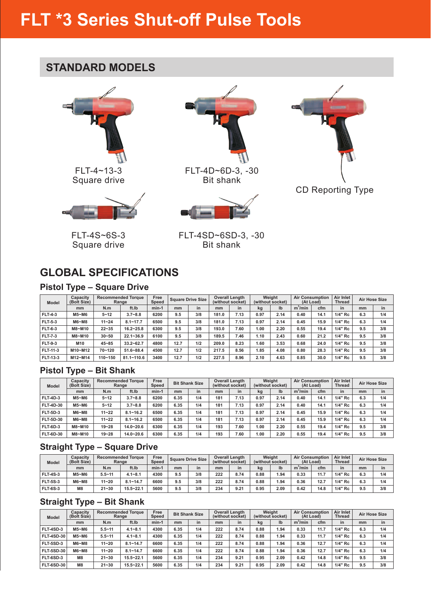### **STANDARD MODELS**



Square drive



FLT-4S~6S-3 Square drive



FLT-4D~6D-3, -30 Bit shank





FLT-4SD~6SD-3, -30 Bit shank

## **GLOBAL SPECIFICATIONS**

### **Pistol Type – Square Drive**

| <b>Model</b>    | Capacity<br>(Bolt Size) |           | <b>Recommended Torque</b><br>Range | Free<br>Speed |      | <b>Square Drive Size</b> |       | <b>Overall Length</b><br>(without socket) |      | Weight<br>(without socket) | <b>Air Consumption</b><br>(At Load) |      | Air Inlet<br><b>Thread</b> |     | <b>Air Hose Size</b> |
|-----------------|-------------------------|-----------|------------------------------------|---------------|------|--------------------------|-------|-------------------------------------------|------|----------------------------|-------------------------------------|------|----------------------------|-----|----------------------|
|                 | mm                      | N.m       | ft.Ib                              | $min-1$       | mm   | in                       | mm    | in                                        | kg   | I <sub>b</sub>             | $m^3/m$ in                          | cfm  | in                         | mm  | in                   |
| <b>FLT-4-3</b>  | M5~M6                   | $5 - 12$  | $3.7 - 8.8$                        | 6200          | 9.5  | 3/8                      | 181.0 | 7.13                                      | 0.97 | 2.14                       | 0.40                                | 14.1 | 1/4" Rc                    | 6.3 | 1/4                  |
| <b>FLT-5-3</b>  | M6~M8                   | $11 - 24$ | $8.1 - 17.7$                       | 6500          | 9.5  | 3/8                      | 181.0 | 7.13                                      | 0.97 | 2.14                       | 0.45                                | 15.9 | 1/4" Rc                    | 6.3 | 1/4                  |
| <b>FLT-6-3</b>  | M8~M10                  | $22 - 35$ | $16.2 - 25.8$                      | 6300          | 9.5  | 3/8                      | 193.0 | 7.60                                      | 1.00 | 2.20                       | 0.55                                | 19.4 | 1/4" Rc                    | 9.5 | 3/8                  |
| <b>FLT-7-3</b>  | M8~M10                  | $30 - 50$ | $22.1 - 36.9$                      | 6100          | 9.5  | 3/8                      | 189.5 | 7.46                                      | 1.10 | 2.43                       | 0.60                                | 21.2 | 1/4" Rc                    | 9.5 | 3/8                  |
| <b>FLT-9-3</b>  | M <sub>10</sub>         | $45 - 85$ | $33.2 - 62.7$                      | 4800          | 12.7 | 1/2                      | 209.0 | 8.23                                      | 1.60 | 3.53                       | 0.68                                | 24.0 | 1/4" Rc                    | 9.5 | 3/8                  |
| FLT-11-3        | M10~M12                 | 70~120    | $51.6 - 88.4$                      | 4500          | 12.7 | 1/2                      | 217.5 | 8.56                                      | 1.85 | 4.08                       | 0.80                                | 28.3 | 1/4" Rc                    | 9.5 | 3/8                  |
| <b>FLT 13-3</b> | M12~M14                 | 110~150   | $81.1 - 110.6$                     | 3400          | 12.7 | 1/2                      | 227.5 | 8.96                                      | 2.10 | 4.63                       | 0.85                                | 30.0 | 1/4" Rc                    | 9.5 | 3/8                  |

### **Pistol Type – Bit Shank**

| <b>Model</b>     | Capacity<br>(Bolt Size) |           | <b>Recommended Torque</b><br>Range | Free<br><b>Speed</b> |      | <b>Bit Shank Size</b> |     | <b>Overall Length</b><br>(without socket) |      | Weight<br>(without socket) | <b>Air Consumption</b><br>(At Load) |      | Air Inlet<br><b>Thread</b> |     | Air Hose Size |
|------------------|-------------------------|-----------|------------------------------------|----------------------|------|-----------------------|-----|-------------------------------------------|------|----------------------------|-------------------------------------|------|----------------------------|-----|---------------|
|                  | mm                      | N.m       | ft.Ib                              | $min-1$              | mm   | in                    | mm  | in                                        | kg   | lb                         | $m^3/m$ in                          | cfm  | in                         | mm  | in            |
| <b>FLT-4D-3</b>  | M5~M6                   | $5 - 12$  | $3.7 - 8.8$                        | 6200                 | 6.35 | 1/4                   | 181 | 7.13                                      | 0.97 | 2.14                       | 0.40                                | 14.1 | $1/4"$ Rc                  | 6.3 | 1/4           |
| <b>FLT-4D-30</b> | M5~M6                   | $5 - 12$  | $3.7 - 8.8$                        | 6200                 | 6.35 | 1/4                   | 181 | 7.13                                      | 0.97 | 2.14                       | 0.40                                | 14.1 | 1/4" Rc                    | 6.3 | 1/4           |
| <b>FLT-5D-3</b>  | M6~M8                   | $11 - 22$ | $8.1 - 16.2$                       | 6500                 | 6.35 | 1/4                   | 181 | 7.13                                      | 0.97 | 2.14                       | 0.45                                | 15.9 | 1/4" Rc                    | 6.3 | 1/4           |
| <b>FLT-5D-30</b> | M6~M8                   | $11 - 22$ | $8.1 - 16.2$                       | 6500                 | 6.35 | 1/4                   | 181 | 7.13                                      | 0.97 | 2.14                       | 0.45                                | 15.9 | 1/4" Rc                    | 6.3 | 1/4           |
| <b>FLT-6D-3</b>  | M8~M10                  | $19 - 28$ | $14.0 - 20.6$                      | 6300                 | 6.35 | 1/4                   | 193 | 7.60                                      | 1.00 | 2.20                       | 0.55                                | 19.4 | 1/4" Rc                    | 9.5 | 3/8           |
| <b>FLT-6D-30</b> | M8~M10                  | $19 - 28$ | $14.0 - 20.6$                      | 6300                 | 6.35 | 1/4                   | 193 | 7.60                                      | 1.00 | 2.20                       | 0.55                                | 19.4 | 1/4" Rc                    | 9.5 | 3/8           |

### **Straight Type – Square Drive**

| <b>Model</b>    | <b>Capacity</b><br>(Bolt Size) |            | <b>Recommended Torque</b><br>Range | Free<br>Speed |     | <b>Square Drive Size</b> |     | <b>Overall Length</b><br>(without socket) |      | Weight<br>(without socket) |                     | <b>Air Consumption</b><br>(At Load) | Air Inlet<br><b>Thread</b> |     | <b>Air Hose Size</b> |
|-----------------|--------------------------------|------------|------------------------------------|---------------|-----|--------------------------|-----|-------------------------------------------|------|----------------------------|---------------------|-------------------------------------|----------------------------|-----|----------------------|
|                 | mm                             | N.m        | ft.Ib                              | min-          | mm  | in                       | mm  | in                                        | kg   | Ib                         | m <sup>3</sup> /min | cfm                                 | in                         | mm  | in                   |
| <b>FLT-4S-3</b> | M5~M6                          | $5.5 - 11$ | $4.1 - 8.1$                        | 4300          | 9.5 | 3/8                      | 222 | 8.74                                      | 0.88 | .94                        | 0.33                | 11.7                                | 1/4" Rc                    | 6.3 | 1/4                  |
| <b>FLT-5S-3</b> | $MG-M8$                        | $11 - 20$  | $8.1 - 14.7$                       | 6600          | 9.5 | 3/8                      | 222 | 8.74                                      | 0.88 | .94                        | 0.36                | 12.7                                | 1/4" Rc                    | 6.3 | 1/4                  |
| <b>FLT-6S-3</b> | M8                             | $21 - 30$  | $15.5 - 22.1$                      | 5600          | 9.5 | 3/8                      | 234 | 9.21                                      | 0.95 | 2.09                       | 0.42                | 14.8                                | 1/4" Rc                    | 9.5 | 3/8                  |

### **Straight Type – Bit Shank**

| <b>Model</b>      | Capacity<br>(Bolt Size) |            | <b>Recommended Torque</b><br>Range | Free<br><b>Speed</b> |      | <b>Bit Shank Size</b> |     | <b>Overall Length</b><br>(without socket) |      | Weight<br>(without socket) | <b>Air Consumption</b> | (At Load) | Air Inlet<br><b>Thread</b> |     | <b>Air Hose Size</b> |
|-------------------|-------------------------|------------|------------------------------------|----------------------|------|-----------------------|-----|-------------------------------------------|------|----------------------------|------------------------|-----------|----------------------------|-----|----------------------|
|                   | mm                      | N.m        | ft.Ib                              | $min-1$              | mm   | in                    | mm  | in                                        | kg   | Ib                         | $m^3/m$ in             | cfm       | in                         | mm  | in                   |
| FLT-4SD-3         | M5~M6                   | $5.5 - 11$ | $4.1 - 8.1$                        | 4300                 | 6.35 | 1/4                   | 222 | 8.74                                      | 0.88 | 1.94                       | 0.33                   | 11.7      | 1/4" Rc                    | 6.3 | 1/4                  |
| <b>FLT-4SD-30</b> | M5~M6                   | $5.5 - 11$ | $4.1 - 8.1$                        | 4300                 | 6.35 | 1/4                   | 222 | 8.74                                      | 0.88 | 1.94                       | 0.33                   | 11.7      | 1/4" Rc                    | 6.3 | 1/4                  |
| FLT-5SD-3         | M6~M8                   | $11 - 20$  | $8.1 - 14.7$                       | 6600                 | 6.35 | 1/4                   | 222 | 8.74                                      | 0.88 | . 94                       | 0.36                   | 12.7      | 1/4" Rc                    | 6.3 | 1/4                  |
| <b>FLT-5SD-30</b> | M6~M8                   | $11 - 20$  | $8.1 - 14.7$                       | 6600                 | 6.35 | 1/4                   | 222 | 8.74                                      | 0.88 | 1.94                       | 0.36                   | 12.7      | 1/4" Rc                    | 6.3 | 1/4                  |
| FLT-6SD-3         | M8                      | $21 - 30$  | $15.5 - 22.1$                      | 5600                 | 6.35 | 1/4                   | 234 | 9.21                                      | 0.95 | 2.09                       | 0.42                   | 14.8      | 1/4" Rc                    | 9.5 | 3/8                  |
| <b>FLT-6SD-30</b> | M8                      | $21 - 30$  | $15.5 - 22.1$                      | 5600                 | 6.35 | 1/4                   | 234 | 9.21                                      | 0.95 | 2.09                       | 0.42                   | 14.8      | 1/4" Rc                    | 9.5 | 3/8                  |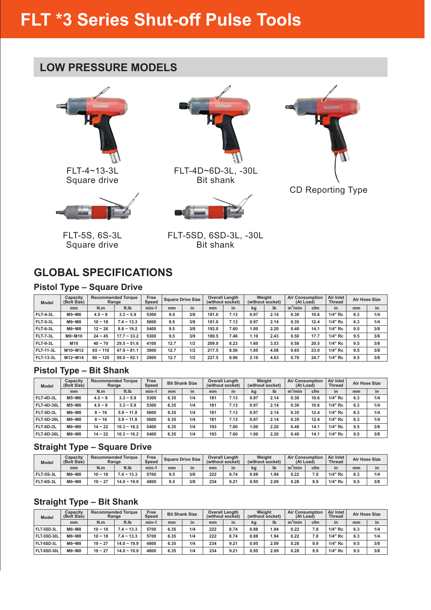### **LOW PRESSURE MODELS**



FLT-4~13-3L Square drive



FLT-5S, 6S-3L Square drive



FLT-4D~6D-3L, -30L Bit shank





FLT-5SD, 6SD-3L, -30L Bit shank

## **GLOBAL SPECIFICATIONS**

### **Pistol Type – Square Drive**

| <b>Model</b>     | Capacity<br>(Bolt Size) |            | <b>Recommended Torque</b><br>Range | Free<br>Speed |      | <b>Square Drive Size</b> |       | <b>Overall Length</b><br>(without socket) |      | Weight<br>(without socket) | <b>Air Consumption</b><br>(At Load) |      | Air Inlet<br><b>Thread</b> |     | <b>Air Hose Size</b> |
|------------------|-------------------------|------------|------------------------------------|---------------|------|--------------------------|-------|-------------------------------------------|------|----------------------------|-------------------------------------|------|----------------------------|-----|----------------------|
|                  | mm                      | N.m        | ft.Ib                              | $min-1$       | mm   | in                       | mm    | in                                        | kg   | $\mathsf{I}^{\mathsf{b}}$  | $m^3/m$ in                          | cfm  | in                         | mm  | in                   |
| <b>FLT-4-3L</b>  | M5~M6                   | $4.5 - 8$  | $3.3 - 5.9$                        | 5300          | 9.5  | 3/8                      | 181.0 | 7.13                                      | 0.97 | 2.14                       | 0.30                                | 10.6 | 1/4" Rc                    | 6.3 | 1/4                  |
| <b>FLT-5-3L</b>  | M6~M8                   | $10 - 18$  | $7.4 - 13.3$                       | 5600          | 9.5  | 3/8                      | 181.0 | 7.13                                      | 0.97 | 2.14                       | 0.35                                | 12.4 | 1/4" Rc                    | 6.3 | 1/4                  |
| <b>FLT-6-3L</b>  | M6~M8                   | $12 - 26$  | $8.8 - 19.2$                       | 5400          | 9.5  | 3/8                      | 193.0 | 7.60                                      | 1.00 | 2.20                       | 0.40                                | 14.1 | 1/4" Rc                    | 9.5 | 3/8                  |
| <b>FLT-7-3L</b>  | M8~M10                  | $24 - 45$  | $17.7 - 33.2$                      | 5300          | 9.5  | 3/8                      | 189.5 | 7.46                                      | 1.10 | 2.43                       | 0.50                                | 17.7 | 1/4" Rc                    | 9.5 | 3/8                  |
| <b>FLT-9-3L</b>  | M10                     | $40 - 70$  | $29.5 - 51.6$                      | 4100          | 12.7 | 1/2                      | 209.0 | 8.23                                      | 1.60 | 3.53                       | 0.58                                | 20.5 | 1/4" Rc                    | 9.5 | 3/8                  |
| <b>FLT-11-3L</b> | M10~M12                 | $65 - 110$ | $47.9 - 81.1$                      | 3900          | 12.7 | 1/2                      | 217.5 | 8.56                                      | 1.85 | 4.08                       | 0.65                                | 23.0 | 1/4" Rc                    | 9.5 | 3/8                  |
| <b>FLT 13-3L</b> | M12~M14                 | $80 - 125$ | $59.0 - 92.1$                      | 2900          | 12.7 | 1/2                      | 227.5 | 8.96                                      | 2.10 | 4.63                       | 0.70                                | 24.7 | 1/4" Rc                    | 9.5 | 3/8                  |

### **Pistol Type – Bit Shank**

| <b>Model</b>      | <b>Capacity</b><br>(Bolt Size) |           | <b>Recommended Torque</b><br>Range | Free<br>Speed |      | <b>Bit Shank Size</b> |     | <b>Overall Length</b><br>(without socket) |      | Weight<br>(without socket) | (At Load)  | <b>Air Consumption</b> | Air Inlet<br>Thread |     | <b>Air Hose Size</b> |
|-------------------|--------------------------------|-----------|------------------------------------|---------------|------|-----------------------|-----|-------------------------------------------|------|----------------------------|------------|------------------------|---------------------|-----|----------------------|
|                   | mm                             | N.m       | ft.Ib                              | $min-1$       | mm   | in                    | mm  | in                                        | kg   | Ib                         | $m^3/m$ in | cfm                    | in                  | mm  | in                   |
| FLT-4D-3L         | M5~M6                          | $4.5 - 8$ | $3.3 - 5.9$                        | 5300          | 6.35 | 1/4                   | 181 | 7.13                                      | 0.97 | 2.14                       | 0.30       | 10.6                   | 1/4" Rc             | 6.3 | 1/4                  |
| <b>FLT-4D-30L</b> | M5~M6                          | $4.5 - 8$ | $3.3 - 5.9$                        | 5300          | 6.35 | 1/4                   | 181 | 7.13                                      | 0.97 | 2.14                       | 0.30       | 10.6                   | 1/4" Rc             | 6.3 | 1/4                  |
| <b>FLT-5D-3L</b>  | M6~M8                          | $8 - 16$  | $5.9 - 11.8$                       | 5600          | 6.35 | 1/4                   | 181 | 7.13                                      | 0.97 | 2.14                       | 0.35       | 12.4                   | 1/4" Rc             | 6.3 | 1/4                  |
| <b>FLT-5D-30L</b> | M6~M8                          | $8 - 16$  | $5.9 - 11.8$                       | 5600          | 6.35 | 1/4                   | 181 | 7.13                                      | 0.97 | 2.14                       | 0.35       | 12.4                   | 1/4" Rc             | 6.3 | 1/4                  |
| FLT-6D-3L         | M6~M8                          | $14 - 22$ | $10.3 - 16.2$                      | 5400          | 6.35 | 1/4                   | 193 | 7.60                                      | 1.00 | 2.20                       | 0.40       | 14.1                   | 1/4" Rc             | 9.5 | 3/8                  |
| <b>FLT-6D-30L</b> | M6~M8                          | $14 - 22$ | $10.3 - 16.2$                      | 5400          | 6.35 | 1/4                   | 193 | 7.60                                      | 1.00 | 2.20                       | 0.40       | 14.1                   | 1/4" Rc             | 9.5 | 3/8                  |

### **Straight Type – Square Drive**

| <b>Model</b> | Capacity<br>(Bolt Size) |           | <b>Recommended Torque</b><br>Range | Free<br>Speed |     | <b>Square Drive Size</b> | (without socket) | <b>Overall Length</b> | (without socket) | Weight | <b>Air Consumption</b><br>(At Load) |     | Air Inlet<br><b>Thread</b> |     | <b>Air Hose Size</b> |
|--------------|-------------------------|-----------|------------------------------------|---------------|-----|--------------------------|------------------|-----------------------|------------------|--------|-------------------------------------|-----|----------------------------|-----|----------------------|
|              | mm                      | N.m       | ft.Ib                              | min-          | mm  | in                       | mm               | in                    | kg               | lb     | m <sup>3</sup> /min                 | cfm | in                         | mm  | in                   |
| FLT-5S-3L    | M6~M8                   | $10 - 18$ | $7.4 - 13.3$                       | 5700          | 9.5 | 3/8                      | 222              | 8.74                  | 0.88             | 1.94   | 0.22                                | 7.8 | 1/4" Rc                    | 6.3 | 1/4                  |
| FLT-6S-3L    | M6~M8                   | $19 - 27$ | $14.0 - 19.9$                      | 4800          | 9.5 | 3/8                      | 234              | 9.21                  | 0.95             | 2.09   | 0.28                                | 9.9 | 1/4" Rc                    | 9.5 | 3/8                  |

### **Straight Type – Bit Shank**

| <b>Model</b>       | <b>Capacity</b><br>(Bolt Size) |           | <b>Recommended Torque</b><br>Range | Free<br><b>Speed</b> |      | <b>Bit Shank Size</b> |     | <b>Overall Length</b><br>(without socket) |      | Weight<br>(without socket) | <b>Air Consumption</b> | (At Load) | Air Inlet<br><b>Thread</b> |     | <b>Air Hose Size</b> |
|--------------------|--------------------------------|-----------|------------------------------------|----------------------|------|-----------------------|-----|-------------------------------------------|------|----------------------------|------------------------|-----------|----------------------------|-----|----------------------|
|                    | mm                             | N.m       | ft.Ib                              | $min-1$              | mm   | in                    | mm  | in                                        | kg   | Ib                         | $m^3/m$ in             | cfm       | in                         | mm  | in                   |
| FLT-5SD-3L         | M6~M8                          | $10 - 18$ | $7.4 - 13.3$                       | 5700                 | 6.35 | 1/4                   | 222 | 8.74                                      | 0.88 | 1.94                       | 0.22                   | 7.8       | 1/4" Rc                    | 6.3 | 1/4                  |
| <b>FLT-5SD-30L</b> | M6~M8                          | $10 - 18$ | $7.4 - 13.3$                       | 5700                 | 6.35 | 1/4                   | 222 | 8.74                                      | 0.88 | 1.94                       | 0.22                   | 7.8       | 1/4" Rc                    | 6.3 | 1/4                  |
| FLT-6SD-3L         | M6~M8                          | $19 - 27$ | $14.0 - 19.9$                      | 4800                 | 6.35 | 1/4                   | 234 | 9.21                                      | 0.95 | 2.09                       | 0.28                   | 9.9       | $1/4"$ Rc                  | 9.5 | 3/8                  |
| FLT-6SD-30L        | M6~M8                          | $19 - 27$ | $14.0 - 19.9$                      | 4800                 | 6.35 | 1/4                   | 234 | 9.21                                      | 0.95 | 2.09                       | 0.28                   | 9.9       | 1/4" Rc                    | 9.5 | 3/8                  |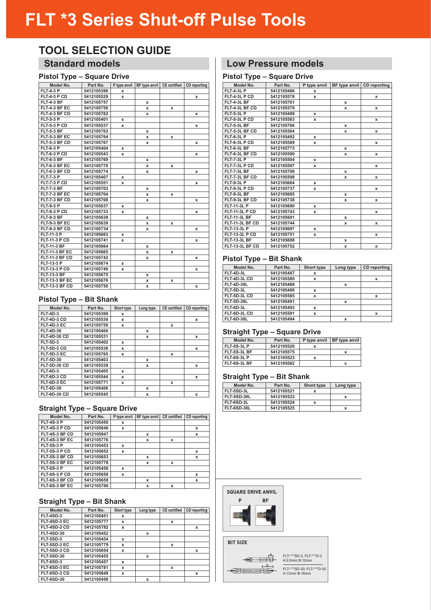### **TOOL SELECTION GUIDE**

### **Standard models**

### **Pistol Type – Square Drive**

| Model No.             | Part No.   |   | P type anvil BF type anvil CE certified |   | CD reporting |
|-----------------------|------------|---|-----------------------------------------|---|--------------|
| <b>FLT-4-3 P</b>      | 5412105398 | x |                                         |   |              |
| FLT-4-3 P CD          | 5412105529 | x |                                         |   | x            |
| <b>FLT-4-3 BF</b>     | 5412105757 |   | x                                       |   |              |
| FLT-4-3 BF EC         | 5412105758 |   | x                                       | x |              |
| FLT-4-3 BF CD         | 5412105762 |   | x                                       |   | x            |
| <b>FLT-5-3 P</b>      | 5412105401 | x |                                         |   |              |
| <b>FLT-5-3 P CD</b>   | 5412105537 | x |                                         |   | x            |
| <b>FLT-5-3 BF</b>     | 5412105763 |   | x                                       |   |              |
| FLT-5-3 BF EC         | 5412105764 |   | x                                       | x |              |
| FLT-5-3 BF CD         | 5412105767 |   | x                                       |   | x            |
| <b>FLT-6-3 P</b>      | 5412105404 | x |                                         |   |              |
| FLT-6-3 P CD          | 5412105543 | x |                                         |   | x            |
| <b>FLT-6-3 BF</b>     | 5412105769 |   | x                                       |   |              |
| FLT-6-3 BF EC         | 5412105770 |   | x                                       | x |              |
| FLT-6-3 BF CD         | 5412105774 |   | x                                       |   | x            |
| <b>FLT-7-3 P</b>      | 5412105407 | x |                                         |   |              |
| FLT-7-3 P CD          | 5412105551 | x |                                         |   | x            |
| FLT-7-3 BF            | 5412105703 |   | x                                       |   |              |
| FLT-7-3 BF EC         | 5412105704 |   | x                                       | x |              |
| FLT-7-3 BF CD         | 5412105708 |   | x                                       |   | x            |
| <b>FLT-9-3 P</b>      | 5412105637 | x |                                         |   |              |
| FLT-9-3 P CD          | 5412105733 | x |                                         |   | x            |
| FLT-9-3 BF            | 5412105638 |   | x                                       |   |              |
| FLT-9-3 BF EC         | 5412105639 |   | x                                       | x |              |
| FLT-9-3 BF CD         | 5412105734 |   | x                                       |   | x            |
| <b>FLT-11-3 P</b>     | 5412105663 | x |                                         |   |              |
| <b>FLT-11-3 P CD</b>  | 5412105741 | x |                                         |   | x            |
| <b>FLT-11-3 BF</b>    | 5412105664 |   | x                                       |   |              |
| <b>FLT-11-3 BF EC</b> | 5412105665 |   | x                                       | x |              |
| <b>FLT-11-3 BF CD</b> | 5412105742 |   | x                                       |   | x            |
| <b>FLT-13-3 P</b>     | 5412105674 | x |                                         |   |              |
| <b>FLT-13-3 P CD</b>  | 5412105749 | x |                                         |   | x            |
| <b>FLT-13-3 BF</b>    | 5412105675 |   | x                                       |   |              |
| <b>FLT-13-3 BF EC</b> | 5412105676 |   | x                                       | x |              |
| <b>FLT-13-3 BF CD</b> | 5412105750 |   | x                                       |   | x            |

#### **Pistol Type – Bit Shank**

| Model No.           | Part No.   | Short type  | Long type | <b>CE</b> certified | CD reporting |
|---------------------|------------|-------------|-----------|---------------------|--------------|
| <b>FLT-4D-3</b>     | 5412105399 | x           |           |                     |              |
| FLT-4D-3 CD         | 5412105530 | x           |           |                     | x            |
| FLT-4D-3 EC         | 5412105759 | x           |           | x                   |              |
| <b>FLT-4D-30</b>    | 5412105400 |             | x         |                     |              |
| <b>FLT-4D-30 CD</b> | 5412105531 |             | x         |                     | x            |
| <b>FLT-5D-3</b>     | 5412105402 | $\mathbf x$ |           |                     |              |
| <b>FLT-5D-3 CD</b>  | 5412105538 | x           |           |                     | x            |
| <b>FLT-5D-3 EC</b>  | 5412105765 | x           |           | x                   |              |
| <b>FLT-5D-30</b>    | 5412105403 |             | x         |                     |              |
| <b>FLT-5D-30 CD</b> | 5412105539 |             | x         |                     | x            |
| <b>FLT-6D-3</b>     | 5412105405 | x           |           |                     |              |
| FLT-6D-3 CD         | 5412105544 | x           |           |                     | x            |
| FLT-6D-3 EC         | 5412105771 | x           |           | x                   |              |
| <b>FLT-6D-30</b>    | 5412105406 |             | x         |                     |              |
| <b>FLT-6D-30 CD</b> | 5412105545 |             | x         |                     | x            |

### **Straight Type – Square Drive**

| Model No.         | Part No.   | P type anvil | BF type anvil | <b>CE</b> certified | CD reporting |
|-------------------|------------|--------------|---------------|---------------------|--------------|
| <b>FLT-4S-3 P</b> | 5412105450 | x            |               |                     |              |
| FLT-4S-3 P CD     | 5412105846 | x            |               |                     | x            |
| FLT-4S-3 BF CD    | 5412105847 |              | x             |                     | x            |
| FLT-4S-3 BF EC    | 5412105776 |              | x             | x                   |              |
| <b>FLT-5S-3 P</b> | 5412105453 | $\mathbf x$  |               |                     |              |
| FLT-5S-3 P CD     | 5412105652 | x            |               |                     | x            |
| FLT-5S-3 BF CD    | 5412105653 |              | x             |                     | x            |
| FLT-5S-3 BF EC    | 5412105778 |              | x             | x                   |              |
| <b>FLT-6S-3 P</b> | 5412105456 | x            |               |                     |              |
| FLT-6S-3 P CD     | 5412105658 | x            |               |                     | x            |
| FLT-6S-3 BF CD    | 5412105659 |              | x             |                     | x            |
| FLT-6S-3 BF EC    | 5412105780 |              | x             | x                   |              |

#### **Straight Type – Bit Shank**

| Model No.         | Part No.   | Short type  | Long type   | <b>CE</b> certified | <b>CD</b> reporting |
|-------------------|------------|-------------|-------------|---------------------|---------------------|
| <b>FLT-4SD-3</b>  | 5412105451 | x           |             |                     |                     |
| FLT-4SD-3 EC      | 5412105777 | x           |             | x                   |                     |
| FLT-4SD-3 CD      | 5412105782 | x           |             |                     | x                   |
| <b>FLT-4SD-30</b> | 5412105452 |             | $\mathbf x$ |                     |                     |
| <b>FLT-5SD-3</b>  | 5412105454 | $\mathbf x$ |             |                     |                     |
| FLT-5SD-3 EC      | 5412105779 | $\mathbf x$ |             | x                   |                     |
| FLT-5SD-3 CD      | 5412105654 | x           |             |                     | x                   |
| <b>FLT-5SD-30</b> | 5412105455 |             | $\mathbf x$ |                     |                     |
| <b>FLT-6SD-3</b>  | 5412105457 | x           |             |                     |                     |
| FLT-6SD-3 EC      | 5412105781 | x           |             | x                   |                     |
| FLT-6SD-3 CD      | 5412105848 | $\mathbf x$ |             |                     | x                   |
| <b>FLT-6SD-30</b> | 5412105458 |             | $\mathbf x$ |                     |                     |

### **Low Pressure models**

### **Pistol Type – Square Drive**

|                       | - 7 - - - · |              |   |                            |
|-----------------------|-------------|--------------|---|----------------------------|
| Model No.             | Part No.    | P type anvil |   | BF type anvil CD reporting |
| <b>FLT-4-3L P</b>     | 5412105486  | x            |   |                            |
| FLT-4-3L P CD         | 5412105578  | x            |   | x                          |
| FLT-4-3L BF           | 5412105761  |              | x |                            |
| FLT-4-3L BF CD        | 5412105579  |              | x | x                          |
| <b>FLT-5-3L P</b>     | 5412105489  | x            |   |                            |
| FLT-5-3L P CD         | 5412105583  | x            |   | x                          |
| FLT-5-3L BF           | 5412105766  |              | x |                            |
| FLT-5-3L BF CD        | 5412105584  |              | x | x                          |
| <b>FLT-6-3L P</b>     | 5412105492  | x            |   |                            |
| FLT 6-3L P CD         | 5412105589  | x            |   | x                          |
| FLT-6-3L BF           | 5412105773  |              | x |                            |
| FLT-6-3L BF CD        | 5412105590  |              | x | x                          |
| <b>FLT-7-3L P</b>     | 5412105504  | x            |   |                            |
| FLT-7-3L P CD         | 5412105597  | x            |   | x                          |
| FLT-7-3L BF           | 5412105706  |              | x |                            |
| FLT-7-3L BF CD        | 5412105598  |              | x | x                          |
| <b>FLT-9-3L P</b>     | 5412105684  | $\mathbf x$  |   |                            |
| FLT-9-3L P CD         | 5412105737  | x            |   | x                          |
| FLT-9-3L BF           | 5412105685  |              | x |                            |
| FLT-9-3L BF CD        | 5412105738  |              | x | x                          |
| <b>FLT-11-3L P</b>    | 5412105690  | x            |   |                            |
| <b>FLT-11-3L P CD</b> | 5412105743  | x            |   | x                          |
| <b>FLT-11-3L BF</b>   | 5412105691  |              | x |                            |
| FLT-11-3L BF CD       | 5412105744  |              | x | x                          |
| <b>FLT-13-3L P</b>    | 5412105697  | x            |   |                            |
| <b>FLT-13-3L P CD</b> | 5412105751  | x            |   | x                          |
| <b>FLT-13-3L BF</b>   | 5412105698  |              | x |                            |
| FLT-13-3L BF CD       | 5412105752  |              | x | x                          |

#### **Pistol Type – Bit Shank**

| Model No.           | Part No.   | Short type | Long type | <b>CD</b> reporting |
|---------------------|------------|------------|-----------|---------------------|
| FLT-4D-3L           | 5412105487 | x          |           |                     |
| FLT-4D-3L CD        | 5412105580 | x          |           | x                   |
| <b>FLT-4D-30L</b>   | 5412105488 |            | x         |                     |
| <b>FLT-5D-3L</b>    | 5412105490 | x          |           |                     |
| <b>FLT-5D-3L CD</b> | 5412105585 | x          |           | x                   |
| <b>FLT-5D-30L</b>   | 5412105491 |            | X         |                     |
| FLT-6D-3L           | 5412105493 | x          |           |                     |
| FLT-6D-3L CD        | 5412105591 | x          |           | x                   |
| <b>FLT-6D-30L</b>   | 5412105494 |            | X         |                     |

#### **Straight Type – Square Drive**

| Model No.          | Part No.   | P type anvil | BF type anvil |
|--------------------|------------|--------------|---------------|
| <b>FLT 5S-3L P</b> | 5412105520 |              |               |
| FLT-5S-3L BF       | 5412105575 |              |               |
| FLT-6S-3L P        | 5412105523 |              |               |
| FLT 6S-3L BF       | 5412105582 |              | x             |

### **Straight Type – Bit Shank**

| Model No.          | Part No.   | <b>Short type</b> | Long type |
|--------------------|------------|-------------------|-----------|
| FLT 5SD-3L         | 5412105521 |                   |           |
| <b>FLT-5SD-30L</b> | 5412105522 |                   |           |
| FLT-6SD-3L         | 5412105524 | x                 |           |
| <b>FLT-6SD-30L</b> | 5412105525 |                   |           |

**SQUARE DRIVE ANVIL**



#### **BIT SIZE**



FLT-\*\*\*SD-3, FLT-\*\*\*D-3 A:9.5mm B:12mm FLT-\*\*\*SD-30, FLT-\*\*\*D-30 A:13mm B:16mm